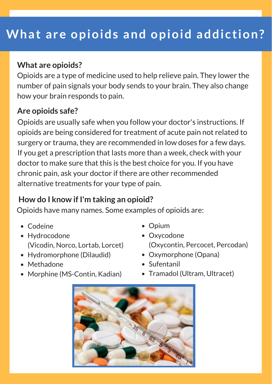# **What are opioids and opioid addiction?**

## **What are opioids?**

Opioids are a type of medicine used to help relieve pain. They lower the number of pain signals your body sends to your brain. They also change how your brain responds to pain.

# **Are opioids safe?**

Opioids are usually safe when you follow your doctor's instructions. If opioids are being considered for treatment of acute pain not related to surgery or trauma, they are recommended in low doses for a few days. If you get a prescription that lasts more than a week, check with your doctor to make sure that this is the best choice for you. If you have chronic pain, ask your doctor if there are other recommended alternative treatments for your type of pain.

# **How do I know if I'm taking an opioid?**

Opioids have many names. Some examples of opioids are:

- Codeine
- Hydrocodone (Vicodin, Norco, Lortab, Lorcet)
- Hydromorphone (Dilaudid)
- Methadone
- Morphine (MS-Contin, Kadian)
- Opium
- Oxycodone (Oxycontin, Percocet, Percodan)
- Oxymorphone (Opana)
- Sufentanil
- Tramadol (Ultram, Ultracet)